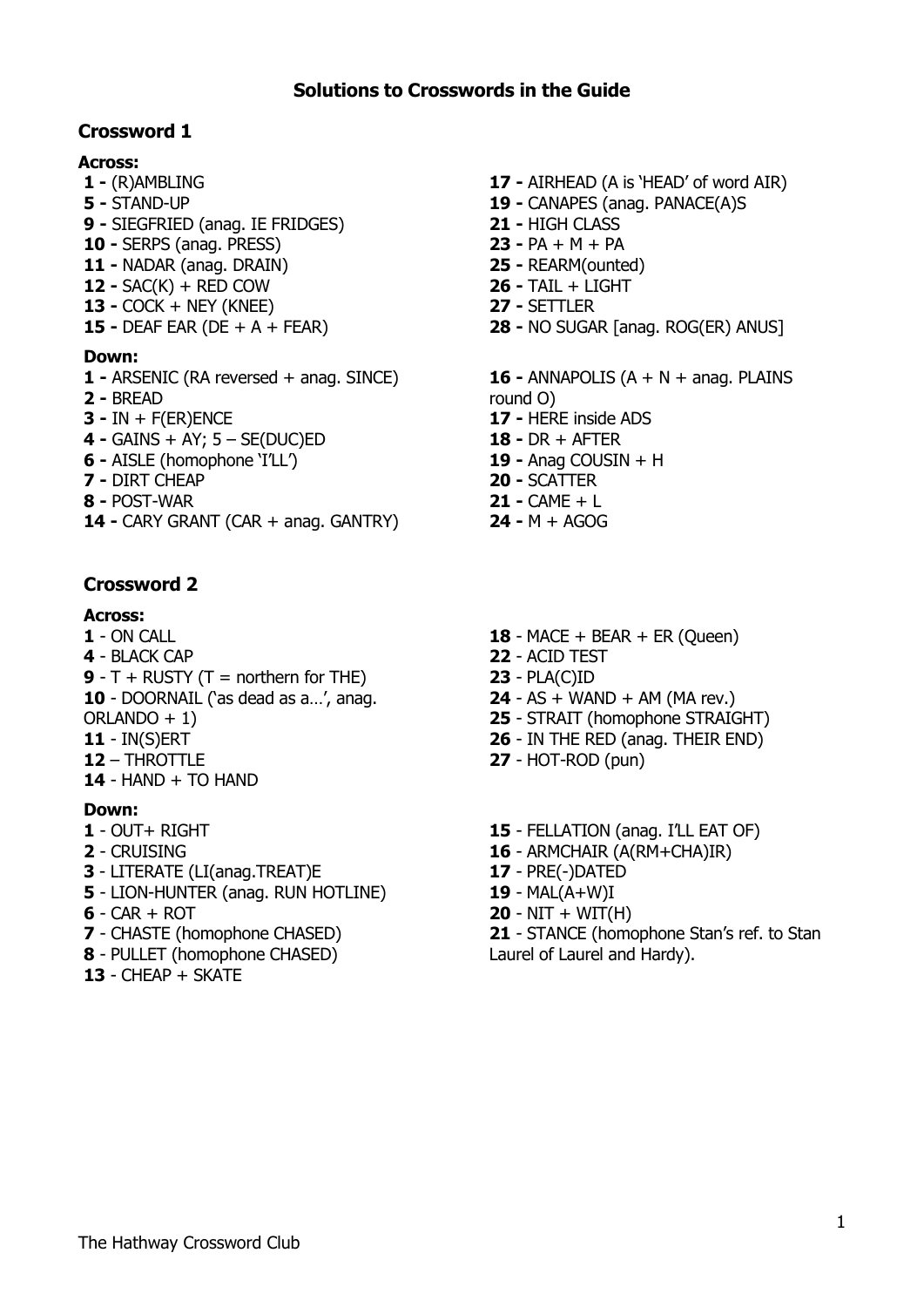## **Crossword 1**

### **Across:**

- **-** (R)AMBLING **-** STAND-UP
- **-** SIEGFRIED (anag. IE FRIDGES)
- **-** SERPS (anag. PRESS)
- **-** NADAR (anag. DRAIN)
- **-** SAC(K) + RED COW
- **-** COCK + NEY (KNEE)
- **-** DEAF EAR (DE + A + FEAR)

### **Down:**

- **-** ARSENIC (RA reversed + anag. SINCE)
- **-** BREAD
- **-** IN + F(ER)ENCE
- **-** GAINS + AY; 5 SE(DUC)ED
- **-** AISLE (homophone 'I'LL')
- **-** DIRT CHEAP
- **-** POST-WAR
- **-** CARY GRANT (CAR + anag. GANTRY)

## **Crossword 2**

### **Across:**

- ON CALL
- BLACK CAP
- **9**  $T$  + RUSTY ( $T$  = northern for THE)
- DOORNAIL ('as dead as a…', anag.
- ORLANDO + 1)
- IN(S)ERT
- THROTTLE
- HAND + TO HAND

### **Down:**

- OUT+ RIGHT
- CRUISING
- LITERATE (LI(anag.TREAT)E
- LION-HUNTER (anag. RUN HOTLINE)
- CAR + ROT
- CHASTE (homophone CHASED)
- PULLET (homophone CHASED)
- CHEAP + SKATE
- **-** AIRHEAD (A is 'HEAD' of word AIR)
- **-** CANAPES (anag. PANACE(A)S
- **-** HIGH CLASS
- **-** PA + M + PA
- **-** REARM(ounted)
- **-** TAIL + LIGHT
- **-** SETTLER
- **-** NO SUGAR [anag. ROG(ER) ANUS]
- **-** ANNAPOLIS (A + N + anag. PLAINS round O) **-** HERE inside ADS **-** DR + AFTER **-** Anag COUSIN + H
- **-** SCATTER **-** CAME + L
- **-** M + AGOG
- 18 MACE + BEAR + ER (Queen)
- ACID TEST
- PLA(C)ID
- AS + WAND + AM (MA rev.)
- STRAIT (homophone STRAIGHT)
- IN THE RED (anag. THEIR END)
- HOT-ROD (pun)
- 15 FELLATION (anag. I'LL EAT OF)
- ARMCHAIR (A(RM+CHA)IR)
- PRE(-)DATED
- MAL(A+W)I
- NIT + WIT(H)
- STANCE (homophone Stan's ref. to Stan Laurel of Laurel and Hardy).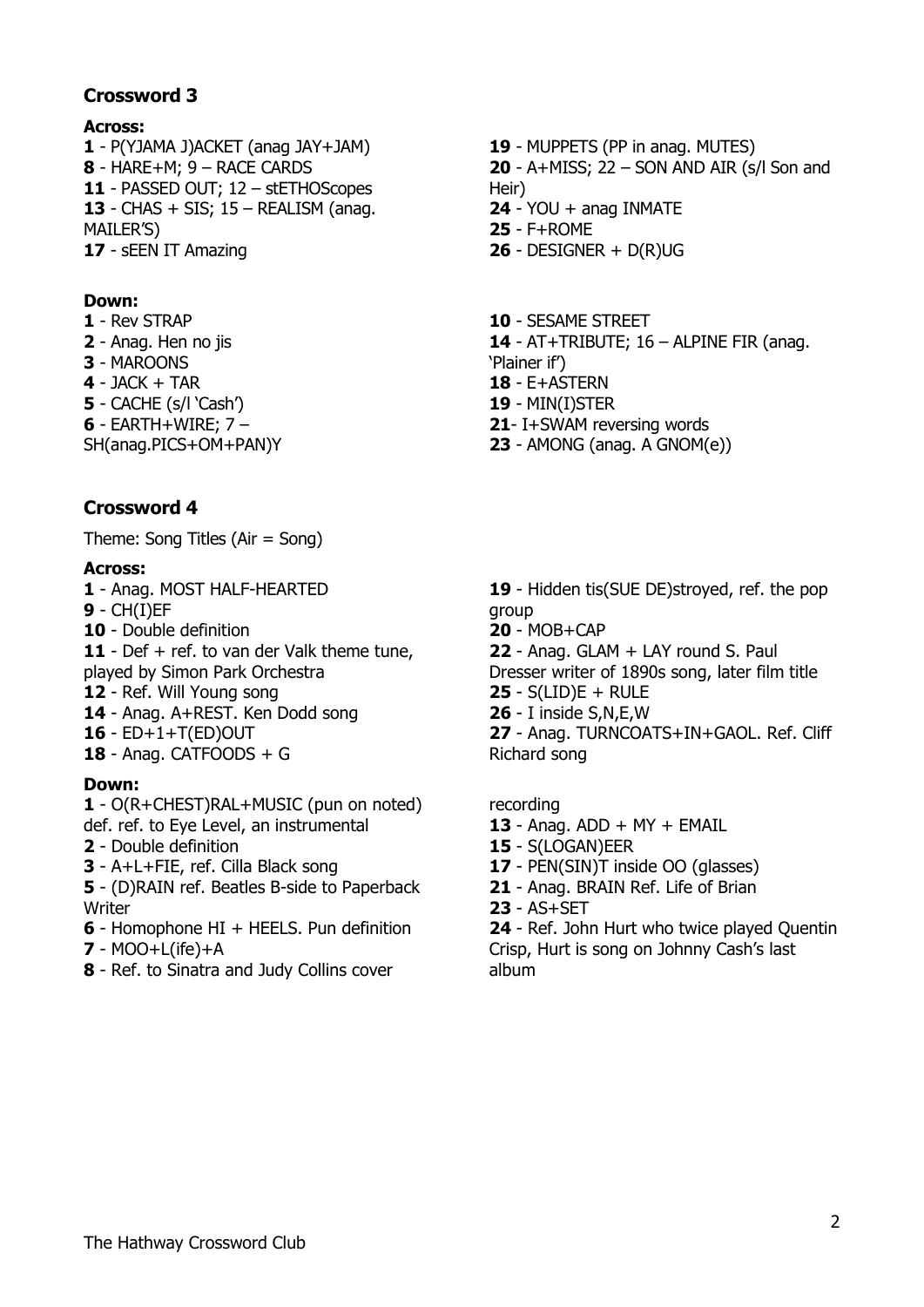## **Crossword 3**

### **Across:**

 - P(YJAMA J)ACKET (anag JAY+JAM) - HARE+M; 9 – RACE CARDS - PASSED OUT; 12 – stETHOScopes - CHAS + SIS; 15 – REALISM (anag. MAILER'S) - sEEN IT Amazing

### **Down:**

- Rev STRAP
- Anag. Hen no jis
- MAROONS
- JACK + TAR
- CACHE (s/l 'Cash')
- EARTH+WIRE; 7 –
- SH(anag.PICS+OM+PAN)Y

# **Crossword 4**

Theme: Song Titles (Air = Song)

### **Across:**

- Anag. MOST HALF-HEARTED
- CH(I)EF
- Double definition
- Def + ref. to van der Valk theme tune,
- played by Simon Park Orchestra
- Ref. Will Young song
- Anag. A+REST. Ken Dodd song
- ED+1+T(ED)OUT
- Anag. CATFOODS + G

## **Down:**

- O(R+CHEST)RAL+MUSIC (pun on noted) def. ref. to Eye Level, an instrumental

- Double definition
- A+L+FIE, ref. Cilla Black song
- (D)RAIN ref. Beatles B-side to Paperback **Writer**
- Homophone HI + HEELS. Pun definition
- MOO+L(ife)+A
- Ref. to Sinatra and Judy Collins cover
- MUPPETS (PP in anag. MUTES) - A+MISS; 22 – SON AND AIR (s/l Son and Heir)
- YOU + anag INMATE
- F+ROME
- DESIGNER + D(R)UG
- SESAME STREET
- AT+TRIBUTE; 16 ALPINE FIR (anag.
- 'Plainer if')
- E+ASTERN
- MIN(I)STER
- I+SWAM reversing words
- AMONG (anag. A GNOM(e))

- Hidden tis(SUE DE)stroyed, ref. the pop group

- MOB+CAP

- Anag. GLAM + LAY round S. Paul

Dresser writer of 1890s song, later film title - S(LID)E + RULE

- I inside S,N,E,W
- Anag. TURNCOATS+IN+GAOL. Ref. Cliff Richard song

recording

- Anag. ADD + MY + EMAIL
- S(LOGAN)EER
- PEN(SIN)T inside OO (glasses)
- Anag. BRAIN Ref. Life of Brian
- AS+SET

- Ref. John Hurt who twice played Quentin Crisp, Hurt is song on Johnny Cash's last album